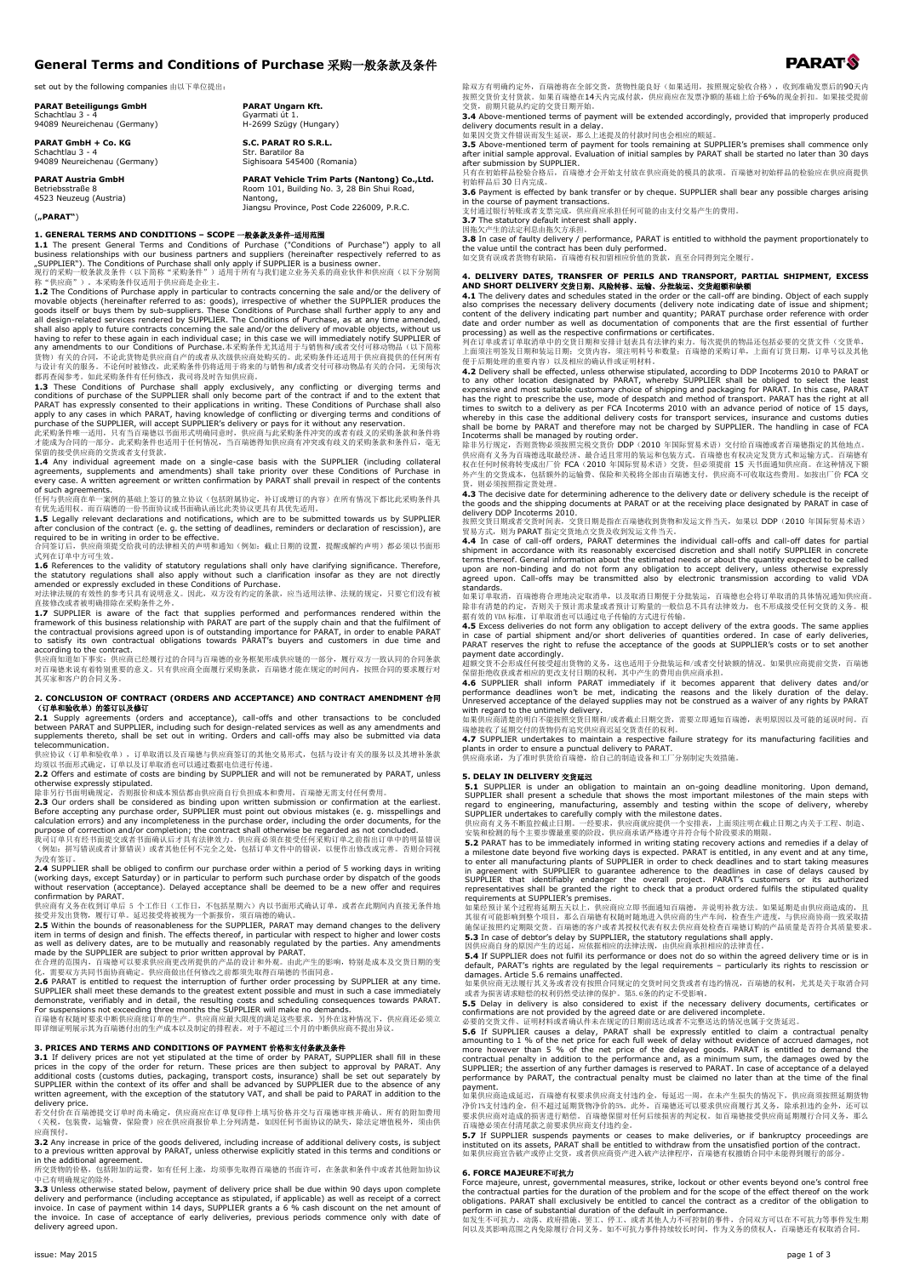## **General Terms and Conditions of Purchase** 采购一般条款及条件

**PARAT Ungarn Kft.** Gyarmati út 1. H-2699 Szügy (Hungary) **S.C. PARAT RO S.R.L.** Str. Baratilor 8a Sighisoara 545400 (Romania)

**PARAT Vehicle Trim Parts (Nantong) Co.,Ltd.** Room 101, Building No. 3, 28 Bin Shui Road, Nantong, Jiangsu Province, Post Code 226009, P.R.C.

set out by the following companies 由以下单位提出:

**PARAT Beteiligungs GmbH** Schachtlau 3 - 4 94089 Neureichenau (Germany)

**PARAT GmbH + Co. KG** Schachtlau 3 - 4 94089 Neureichenau (Germany)

**PARAT Austria GmbH** Betriebsstraße 8

4523 Neuzeug (Austria)

(**"PARAT"**)

**1. GENERAL TERMS AND CONDITIONS – SCOPE** 一般条款及条件-适用范围

1.1 The present General Terms and Conditions of Purchase ("Conditions of Purchase") apply to all<br>business relationships with our business partners and suppliers (hereinafter respectively referred to as<br>"SUPPLIER"). The Co

**1.2** The Conditions of Purchase apply in paticular to contracts concerning the side and/or the delivery of such and al design-related goods itself or buys them by sub-suppliers. These Conditions of Purchase shall further

agreements, supplements and amendments) shall take priority over these Conditions of Purchase in every case. A written agreement or written confirmation by PARAT shall prevail in respect of the contents

of such agreements.<br>任何与供应商在单一案例的基础上签订的独立协议(包括附属协定,补订或增订的内容)在所有情况下都比此采购条件具<br>有优先适用权。而百瑞德的一份书面协议或书面确认函比此类协议更具有具优先适用。<br>1.5 Legally relevant declarations and notifications, which are to be submitted towards us by SUPPLIER<br>after

**1.6** References to the validity of statutory regulations shall only have clarifying significance. Therefore, the statutory regulations shall also apply without such a clarification insofar as they are not directly amende

framework of this business relationship with PARAT are part of the supply chain and that the fulfilment of<br>the contractual provisions agreed upon is of outstanding importance for PARAT, in order to enable PARAT<br>according

对百瑞德来说有着特别重要的意义。只有供应商全面履行采购条款,百瑞德才能在规定的时间内,按照合同的要求履行对 其买家和客户的合同义务

# **2. CONCLUSION OF CONTRACT (ORDERS AND ACCEPTANCE) AND CONTRACT AMENDMENT** 合同

**(订单和验收单)的签订以及修订**<br>**2.1** Supply agreements (orders and acceptance), call-offs and other transactions to be concluded<br>between PARAT and SUPPLIER, including such for design-related services as well as any amendments and<br>sup telecommunication.

terecommunication:<br>供应协议(订单和验收单),订单取消以及百瑞德与供应商签订的其他交易形式,包括与设计有关的服务以及其增补条款 均须以书面形式确定,订单以及订单取消也可以通过数据电信进行传递。 **2.2** Offers and estimate of costs are binding by SUPPLIER and will not be remunerated by PARAT, unless

otherwise expressly stipulated.<br>I@#H3fth=Signet Figure of the consideration of the second of the section of the earliest.<br>**2.3** Our orders shall be considered as binding upon written submission or confirmation at the earl

(2003年) (1914年) (2004年) (2004年) (2004年) (2004年) (2004年) (2004年) (2004年) (2004年) (2004年) (2004年) (2004年) (2004年<br>《例如: 拼写错误或者计算错误》或者其他任何不完全之处, 包括订单文件中的错误, 以便作出修改或完善。否则合同视 为没有签订。 **2.4** SUPPLIER shall be obliged to confirm our purchase order within a period of 5 working days in writing

(working days, except Saturday) or in particular to perform such purchase order by dispatch of the goods

without reservation (acceptance). Delayed acceptance shall be deemed to be a new offer and requires<br>confirmation by PARAT. 5 个工作日(工作日,不包括星期六)内以书面形式确认订单,或者在此期间内直接无条件地<br>供应商有义务在收到订单后 5 个工作日(工作日,不包括星期为)内以书面形式确认订单,或者在此期间内直接无条件地

### **3. PRICES AND TERMS AND CONDITIONS OF PAYMENT** 价格和支付条款及条件

**3.1** If delivery prices are not yet stipulated at the time of order by PARAT, SUPPLIER shall fill in these prices in the copy of the order for return. These prices are then subject to approval by PARAT. Any prices in the written agreement, with the exception of the statutory VAT, and shall be paid to PARAT in addition to the

delivery price. 若交付价在百瑞德提交订单时尚未确定,供应商应在订单复印件上填写价格并交与百瑞德审核并确认。所有的附加费用 (关税,包装费,运输费,保险费)应在供应商报价单上分列清楚,如因任何书面协议的缺失,除法定增值税外,须由供 应商预付。

**3.2** Any increase in price of the goods delivered, including increase of additional delivery costs, is subject<br>to a previous written approval by PARAT, unless otherwise explicitly stated in this terms and conditions or<br>i

中已有明确规定的除外。

**3.3** Unless otherwise stated below, payment of delivery price shall be due within 90 days upon complete delivery and performance (including acceptance as stipulated, if applicable) as well as receipt of a correct<br>invoice. In case of payment within 14 days, SUPPLIER grants a 6 % cash discount on the net amount of<br>the invoice. delivery agreed upon.

除双方有明确约定外,百瑞德将在全部交货,货物性能良好(如果适用,按照规定验收合格),收到准确发票后的90天内<br>按照交货价支付货款。如果百瑞德在14天内完成付款,供应商应在发票净额的基础上给予6%的现金折扣。如果接受提前<br>交货,前期只能从约定的交货日期开始。

**3.4** Above-mentioned terms of payment will be extended accordingly, provided that improperly produced<br>delivery documents result in a delay.<br>如果因交货文件错误而发生延误,那么上述提及的付款时间也会相应的顺延。<br>als Above-mentioned term of payment for tools

auer submission by sorr-cuck.<br>見有在初始様品检验合格后, 百瑞德才会开始支付放在供应商处的模具的数项。百瑞德对初始样品的检验应在供应商提供 初始样品后 30 日内完成。

**3.6** Payment is effected by bank transfer or by cheque. SUPPLIER shall bear any possible charges arising in the course of payment transactions. 支付通过银行转账或者支票完成,供应商应承担任何可能的由支付交易产生的费用。

**3.7** The statutory default interest shall apply.<br>因拖欠产生的法定利息由拖欠方承担。<br>**3.8** In case of faulty delivery / performance, PARAT is entitled to withhold the payment proportionately to<br>the value until the contract has been duly p

如交货有误或者货物有缺陷,百瑞德有权扣留相应价值的货款,直至合同得到完全履行。

**4. DELIVERY DATES, TRANSFER OF PERILS AND TRANSFORT, PARTIAL SHIPMENT, EXCESS**<br>**AND SHORT DELIVERY XXX HR. DRESS AND TRANSFORT, PARTIAL SHIPMENT, EXCESS**<br>**4.1** The delivery dates and schedules stated in the order or the

列在订单或者订单取消单中的交货日期和安排计划表具有法律约束力。每次提供的物品还包括必要的交货文件(交货单,<br>上面须注明签发日期和装运日期,交货内容,须注明料号和数量,百瑞德的采购订单,上面有订货日期,订单号以及其他<br>便于后期处理的重要内容)以及相应的确认件或证明材料。<br>4.2 Delivery shall be effected, unless otherwise stipulated, according to DDP Incoterm

to any other location designated by PARAT, whereby SUPPLIER shall be obliged to select the least<br>expensive and most suitable customary choice of shipping and packaging for PARAT. In this case, PARAT<br>has the right to prescr

Incoterms shall be managed by routing order.<br>除非另行规定,否则货物必须按照完成交货价 DDP(2010 年国际贸易术语)交付给百瑞德或者百瑞德指定的其他地点。<br>供应商有义务为百瑞德选取最经济、最合适且常用的装运和包装方式。百瑞德也有权决定发货方式和运输方式。百瑞德有<br>权在任何时候将转变成本,包括额外的运输费、保险和关税将全部由百瑞德支付,供应商不可收取这些费用。如按出厂价 FCA 交<br>外产生的 货,则必须按照指定货处理。

**4.3** The decisive date for determining adherence to the delivery date or delivery schedule is the receipt of

the goods and the shipping documents at PARAT or at the receiving place designated by PARAT in case of<br>delivery DDP Incoterms 2010.<br>按照交货日期或者交货时间表,交货日期是指在百瑞德收到货物和发运文件当天,如果以 DDP(2010 年国际贸易术语)<br>贸易方式,则为PARAT 指定交货地点交货及收到发运文件当天。

shipment in accordance with its reasonably excercised discretion and shall notify SUPPLIER in concrete<br>terms thereof. General information about the estimated needs or about the quantity expected to be called<br>upon are non-b standards.

如果订单取消,百瑞德将合理地决定取消单,以及取消日期便于分批装运,百瑞德也会将订单取消的具体情况通知供应商。<br>除非有清楚的约定,否则关于预计需求量或者预计订购量的一般信息不具有法律效力,也不形成接受任何交货的义务。根<br>据有效的 VDA 标准,订单取消也可以通过电子传输的方式进行传输。

4.5 Excess deliveries do not form any obligation to accept delivery of the extra goods. The same applies<br>in case of partial shipment and/or short deliveries of quantities ordered. In case of early deliveries,<br>PARAT reserv

4.6 SUPPLER shall inform PARAT immediately if it becomes apparent that delivery dates and/or<br>performance deadlines won't be met, indicating the reasons and the likely duration of the delay.<br>Unreserved acceptance of the de

瑞德接收了延期交付的货物仍有追究供应商迟延交货责任的权利。<br>**4.7** SUPPLIER undertakes to maintain a respective failure strategy for its manufacturing facilities and<br>plants in order to ensure a punctual delivery to PARAT.<br>供应商承诺,为了准时供货给百瑞德,给自己的制造设备和工厂分别

5. DELAY IN DELIVERY 文教基<br>
R. DELAY TY DELIVERY 20世纪 and onligation to maintain an on-going deadline monitoring. Upon demand,<br>
S.J. SUPPLIER shall present a schedule that shows the most important milestones of the main ste

default, PARAT's rights are regulated by the legal requirements – particularly its rights to rescission or<br>damages. Article 5.6 remains unaffected.<br>如果供应商无法履行其义务或者没有按照合同规定的交货时间交货或者有违约情况,百瑞德的权利,尤其是关于取消合同

或者为损害请求赔偿的权利仍然受法律的保护。第5.6条的约定不受影响。<br>**5.5** Delay in delivery is also considered to exist if the necessary delivery documents, certificates or<br>confirmations are not provided by the agreed date or are delivered incomplete.<br>必要

**5.6** If SUPPLIER causes a delay, PARAT shall be expressly entitled to claim a contractual penalty<br>amounting to 1 % of the net price for each full week of delay without evidence of accrued damages, not<br>more however than 5 performance by PARAT, the contractual penalty must be claimed no later than at the time of the final

payment.<br>如果供应商造成延迟,百瑞德有权要求供应商支付违约金,每延迟一周,在未产生损失的情况下,供应商须按照延期货物<br>净价1%支付违约金,但不超过延期货物净价的5%。此外,百瑞德还可以要求供应商履行其义务,除承担违约金外,还可以<br>要求供应商对造成的损害进行赠偿。百瑞德保留对任何后续损害的判定权。如百瑞德接受供应商延期履行合同义务,那么<br>百瑞德必须在付清尾款之前要求供应商支付违约金。<br>**5.7** If SUPPLIER suspen

**6. FORCE MAJEURE不可抗力**<br>Force majeure, unrest, governmental measures, strike, lockout or other events beyond one's control free<br>the contractual parties for the duration of the problem and for the scope of the effect thereo obligations. PARAT shall exclusively be entitled to cancel the contract as a creditor of the obligation to<br>perform in case of substantial duration of the default in performance.<br>如发生不可抗力、动荡、政府措施、罢工、停工、或者共他人力不可控制的事件,合同双方可以在

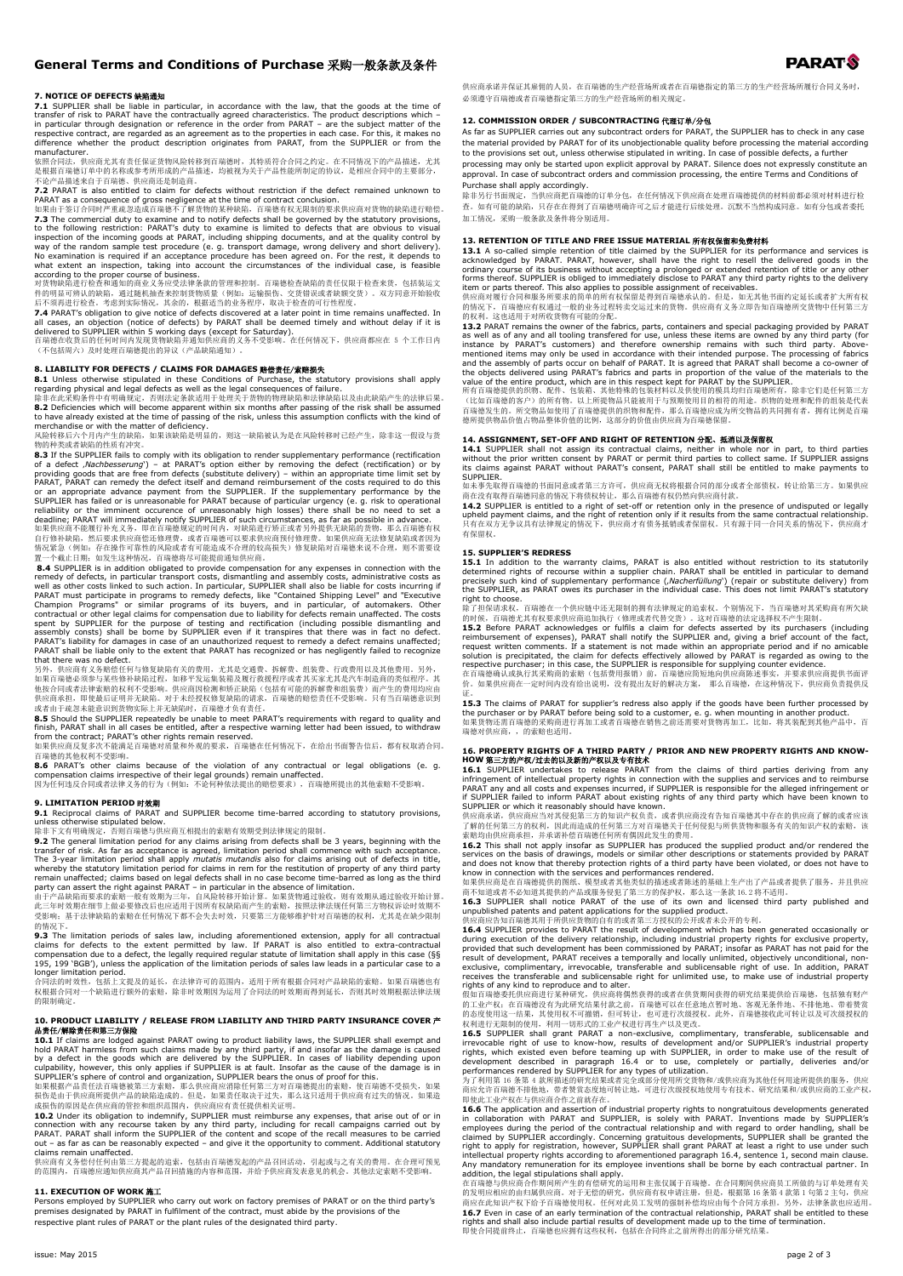## **General Terms and Conditions of Purchase** 采购一般条款及条件

### **7. NOTICE OF DEFECTS** 缺陷通知

**7.1** SUPPLIER shall be liable in particular, in accordance with the law, that the goods at the time of<br>transfer of risk to PARAT have the contractually agreed characteristics. The product descriptions which –<br>in particula respective contract, are regarded as an agreement as to the properties in each case. For this, it makes no difference whether the product description originates from PARAT, from the SUPPLIER or from the

manufacturer.<br>依照合同法, 供应商尤其有责任保证货物风险转移到百瑞德时, 其特质符合合同之约定。在不同情况下的产品描述, 尤其<br>是根据百瑞德订单中的名称或参考所形成的产品描述, 均被视为关于产品性能所制定的协议, 是相应合同中的主要部分, 不论产品描述来自于百瑞德、供应商还是制造商。

**7.2** PARAT is also entitled to claim for defects without restriction if the defect remained unknown to PARAT as a consequence of gross negligence at the time of contract conclusion. 如果由于签订合同时严重疏忽造成百瑞德不了解货物的某种缺陷,百瑞德有权无限制的要求供应商对货物的缺陷进行赔偿。

7.3 The commercial duty to examine and to notify defects shall be governed by the statutory provisions, to the following restriction: PARAT's duty to examine is limited to defects that are obvious to visual inspection of t

what extent an inspection, taking into account the circumstances of the individual case, is feasible<br>according to the proper course of business.<br>对货物缺陷进行检查和通知的商业义务应受法律条款的管理和控制。百瑞德检查缺陷的责任仅限于检查来货,包括装运文<br>件的明显可辨认的缺陷,考虑到实际情况,其余的

**7.4** PARAT's obligation to give notice of defects discovered at a later point in time remains unaffected. In<br>all cases, an objection (notice of defects) by PARAT shall be deemed timely and without delay if it is<br>delivere

## (不包括周六)及时处理百瑞德提出的异议(产品缺陷通知)。

## **8. LIABILITY FOR DEFECTS / CLAIMS FOR DAMAGES** 赔偿责任/索赔损失

**8.1** Unless otherwise stipulated in these Conditions of Purchase, the statutory provisions shall apply<br>regarding physical and legal defects as well as the legal consequences of failure.<br>除非在此采购条件中有明确规定,否则法定条款适用于处理关于货物的物理缺

merchandise or with the matter of deficiency.<br>风险转移后六个月内产生的缺陷,如果该缺陷是明显的,则这一缺陷被认为是在风险转移时已经产生,除非这一假设与货

物种类或者缺陷的性质有冲突.<br>8.3 If the SUPPLIER fair는 comply with its obligation to render supplementary performance (rectification) or by<br>6.3 If the SUPPLIER fails to comply with its obligation to render supplementary performance (r

**8.4** SUPPLIER is in addition obligated to provide compensation for any expenses in connection with the remedy of defects, in particular transport costs, dismantiling and assembly costs andimistrative costs and is well as

另外,供应商有义务赔偿任何与修复缺陷有关的费用,尤其是交通费、拆解费、组装费、行政费用以及其他费用。另外,<br>如果百瑞德必须参与某些修补缺陷过程,如移平发运集装箱及履行救援程序或者其买家尤其是汽车制造商的类似程序。其<br>他按合同或者法律索赔的权利不受影响。供应商因检测和矫正缺陷(包括有可能的拆解费和组装费)而产生的费用均应由

供应商承担,即使最后证明并无缺陷。对于未经授权修复缺陷的请求,百瑞德的赔偿责任不受影响。只有当百瑞德意识到<br>或者由于疏忽未能意识到货物实际上并无缺陷时,百瑞德才负有责任。<br>**8.5** Should the SUPPLIER repeatedly be unable to meet PARAT's requirements with regard to quality and<br>**8.5** Should the SUPPLIER repeat

百瑞德的其他权利不受影响。

**8.6** PARAT's other claims because of the violation of any contractual or legal obligations (e. g.<br>compensation claims irrespective of their legal grounds) remain unaffected.<br>因为任何违反合同或者法律义务的行为(例如:不论何种依法提出的赔偿要求),百端德所提出的其他索

**9. LIMITATION PERIOD 时效期**<br>**9.1** Reciprocal claims of PARAT<br>unless otherwise stipulated below.<br>unless otherwise stipulated below.<br>除非下文有明确规定,否则百瑞德与供应商互相提出的索赔有效期受到法律规定的限制。

**9.2** The general limitation period for any claims arising from defects shall be 3 years, beginning with the transfer of risk. As far as acceptance is agreed, limitation period shall commence with such acceptance. The 3-y

A. - | 1, A. A. - - | 1, A. A. - | 2, A. - | 2, A. - | 2, A. - | 2, A. - | 2, A. - | 2, A. - | 2, A. - | 2, A.<br>受影响;基于法律缺陷的索赔在任何情况下都不会失去时效,只要第三方能够维护针对百瑞德的权利,尤其是在缺少限制

的情况下。<br>**9.3** The limitation periods of sales law, including aforementioned extension, apply for all contractual<br>claims for defects to the extent permitted by law. If PARAT is also entitled to extra-contractual<br>compensation

195, 199 'BGB'), unless the application of the limitation periods of sales law leads in a particular case to a<br>longer limitation period.<br>合同法的时效性,包括上文提及的延长,在法律许可的范围内,适用于所有根据合同对产品缺陷的索赔。如果百瑞德也有<br>权根据合同对一个缺陷进行额外的索赔,除非时效期因为运用了合同 的限制确定。

### **10. PRODUCT LIABILITY / RELEASE FROM LIABILITY AND THIRD PARTY INSURANCE COVER** 产 品责任/解除责任和第三方保险

**10.1** If claims are lodged against PARAT owing to product liability laws, the SUPPLIER shall exempt and<br>hold PARAT harmless from such claims made by any third party, if and insofar as the damage is caused<br>by a defect in t

SUPPLIER's sphere of control and organization, SUPPLIER bears the onus of proof for this..<br>如果根据产品责任法百瑞德被第三方索赔,那么供应商应消除任何第三方对百瑞德提出的索赔,使百瑞德不受损失,如果<br>损伤是由于供应商所提供产品的缺陷边成的。但是,如果责任取决于过失,那么这只适用于供应商有过失的情况。如果造<br>成损伤的原因是在供应商的管控和组织范围内,供

**10.2** Under its obligation to indemnify, SUPPLIER must reimburse any expenses, that arise out of or in<br>connection with any recourse taken by any third party, including for recall campaigns carried out by<br>PARAT. PARAT sha

的范围内,百瑞德应通知供应商其产品召回措施的内容和范围,并给予供应商发表意见的机会。其他法定索赔不受影响。

## **11. EXECUTION OF WORK** 施工

Persons employed by SUPPLIER who carry out work on factory premises of PARAT or on the third party's premises designated by PARAT in fulfilment of the contract, must abide by the provisions of the respective plant rules of PARAT or the plant rules of the designated third party.

供应商承诺并保证其雇佣的人员,在百瑞德的生产经营场所或者在百瑞德指定的第三方的生产经营场所履行合同义务时, 必须遵守百瑞德或者百瑞德指定第三方的生产经营场所的相关规定。

### **12. COMMISSION ORDER / SUBCONTRACTING** 代理订单/分包

As far as SUPPLIER carries out any subcontract orders for PARAT, the SUPPLIER has to check in any case the material provided by PARAT for of its unobjectionable quality before processing the material according to the provisions set out, unless otherwise stipulated in writing. In case of possible defects, a further processing may only be started upon explicit approval by PARAT. Silence does not expressly constitute an approval. In case of subcontract orders and commission processing, the entire Terms and Conditions of

Purchase shall apply accordingly.<br>除非另行书面规定,当供应商把百瑞德的订单分包,在任何情况下供应商在处理百瑞德提供的材料前都必须对材料进行检 查。如有可能的缺陷,只存在在得到了百瑞德明确许可之后才能进行后续处理。沉默不当然构成同意。如有分包或者委托 加工情况,采购一般条款及条件将分别适用。

13. RETENTION OF TITLE AND FREE ISSUE MATERIAL <del>所有</del>权保留和免费材料<br>13.1 A so-called simple retention of title claimed by the SUPPLIER for its performance and services is<br>acknowledged by PARAT. PARAT, however, shall have the righ ordinary course of its business without accepting a prolonged or extended retention of title or any other forms thereof. SUPPLIER is obliged to immediately disclose to PARAT any third party rights to the delivery item or

13.2 PARAT remains the owner of the fabrics, parts, containers and special packaging provided by PARAT remains the owner of the fabrics, parts, containers are owned by any third part) in instance by PARAT's customers) and

### **14. ASSIGNMENT, SET-OFF AND RIGHT OF RETENTION** 分配、抵消以及保留权

14.1 SUPPLIER shall not assign its contractual claims, neither in whole nor in part, to third parties<br>without the prior written consent by PARAT or permit third parties to collect same. If SUPPLIER assigns<br>its claims agai

商在没有取得百瑞德同意的情况下将债权转让,那么百瑞德有权仍然向供应商付款。<br>**14.2 SUPPLIER is entitled to a right of set-off or retention only in the presence of undisputed or legally<br>upheld payment claims, and the right of retention only if it results from t** 有保留权。

**15. SUPPLIER'S REDRESS 15.1** In addition to the warranty claims, PARAT is also entitled without restriction to its statutorily determined rights of recourse within a supplier chain. PARAT shall be entitled in particular to demand<br>precisely such kind of supplementary performance ("Macherfüllung") (repair or substitute delivery) from<br>the SUPPLIER, a right to choose. 除了担保请求权,百瑞德在一个供应链中还无限制的拥有法律规定的追索权。个别情况下,当百瑞德对其采购商有所欠缺

的时候,百瑞德尤其有权要求供应商追加执行(修理或者代替交货)。这对百瑞德的法定选择权不产生限制。<br>**15.2 Before PARAT** acknowledges or fulfils a claim for defects asserted by its purchasers (including<br>reimbursement of expenses), PARAT shall notify the SUPPLIER and, givin

respective purchaser; in this case, the SUPPLIER is responsible for supplying counter evidence.<br>在百瑞德确认或执行其采购商的索赔(包括费用报销)前,百瑞德应简短地向恢应商陈述事实,并实供应商负责提供反<br>价。如果供应商在一定时间内没有给出说明,没有提出友好的解决方案, 那么百瑞德,在这种情况下,供应商负责提供反

证。<br>**15.3** The claims of PARAT for supplier's redress also apply if the goods have been further processed by<br>the purchaser or by PARAT before being sold to a customer, e. g. when mounting in another product.<br>如果货物环还商厂,的索赔也适

16. PROPERTY RIGHTS OF A THIRD PARTY / PRIOR AND NEW PROPERTY RIGHTS AND KNOW-<br>HOW 第三方的产权/过去的以及新的产权以及专有技术<br>16.1 SUPPLIER undertakes to release PARAT from the claims of third parties deriving from any<br>infringement of intell

**16.2 This shall not apply insofar as SUPPLIER has produced the supplied product and/or rendered the services on the basis of drawings, models or similar other descriptions or statements provided by PARAT<br>and does not kno** 

 $\langle E \rangle_{\rm m}$  in  $E$  in  $E$  in  $E$  in  $E$  in  $E$  in  $E$  in  $E$  is  $E$  is  $E$  is  $E$  is  $E$  is  $E$  if  $E$  is  $E$  is  $E$  is  $E$  is  $E$  is  $E$  is  $E$  is  $E$  is  $E$  is  $E$  is  $E$  is  $E$  is  $E$  is  $E$  is  $E$  is  $E$  is  $E$  is  $E$ 

rights of any kind to reproduce and to alter.<br>假如百调德委托供应商进行某种研究,供应商将然获得的或者在供货期间获得的研究结果提供给百瑞德,包括独有财产<br>的工业产权:在百瑞德没有为此研究结果付款之前,百瑞德可以在任意地点暂时地、客观无条件地、不排他地、带着赞赏<br>的态度使用这一结果,其使用权不可撤销,但可转让,也可进行次级授权。此外,百瑞德接收此可转让以及可次级授权的<br>**16.5** SUPPLIE

irrevocable right of use to know-how, results of development and/or SUPPLIER's industrial property<br>rights, which existed even before teaming up with SUPPLIER, in order to make use of the result of<br>development described in

即使此工业产权在与供应商合作之前就存在。<br>**16.6 T**he application and assertion of industrial property rights to nongratuitous developments generated<br>**16.6 The application and assertion of industrial property rights to nongratuitous developmen** intellectual property rights according to aforementioned paragraph 16.4, sentence 1, second main clause.<br>Any mandatory remuneration for its employee inventions shall be borne by each contractual partner. In<br>addition, the

的发明应相应的由归属供应商。对于无偿的研究,供应商有权申请注册,但是,根据第 16 条第 4 款第 1 句第 2 主句,供应<br>商应在此知识产权下给予百瑞德使用权。任何对此员工发明的强制补偿均应由每个合同方承担。另外,法律条款也应适用。<br>**16.7 E**ven in case of an early termination of the contractual relationship, PARAT shill be entitled to 即使合同提前终止,百瑞德也应拥有这些权利,包括在合同终止之前所得出的部分研究结果。